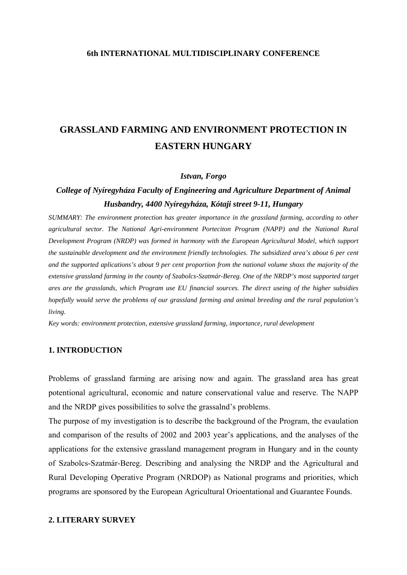### **6th INTERNATIONAL MULTIDISCIPLINARY CONFERENCE**

# **GRASSLAND FARMING AND ENVIRONMENT PROTECTION IN EASTERN HUNGARY**

#### *Istvan, Forgo*

# *College of Nyíregyháza Faculty of Engineering and Agriculture Department of Animal Husbandry, 4400 Nyíregyháza, Kótaji street 9-11, Hungary*

*SUMMARY: The environment protection has greater importance in the grassland farming, according to other agricultural sector. The National Agri-environment Porteciton Program (NAPP) and the National Rural Development Program (NRDP) was formed in harmony with the European Agricultural Model, which support the sustainable development and the environment friendly technologies. The subsidized area's about 6 per cent and the supported aplications's about 9 per cent proportion from the national volume shoxs the majority of the extensive grassland farming in the county of Szabolcs-Szatmár-Bereg. One of the NRDP's most supported target ares are the grasslands, which Program use EU financial sources. The direct useing of the higher subsidies hopefully would serve the problems of our grassland farming and animal breeding and the rural population's living.* 

*Key words: environment protection, extensive grassland farming, importance, rural development* 

# **1. INTRODUCTION**

Problems of grassland farming are arising now and again. The grassland area has great potentional agricultural, economic and nature conservational value and reserve. The NAPP and the NRDP gives possibilities to solve the grassalnd's problems.

The purpose of my investigation is to describe the background of the Program, the evaulation and comparison of the results of 2002 and 2003 year's applications, and the analyses of the applications for the extensive grassland management program in Hungary and in the county of Szabolcs-Szatmár-Bereg. Describing and analysing the NRDP and the Agricultural and Rural Developing Operative Program (NRDOP) as National programs and priorities, which programs are sponsored by the European Agricultural Orioentational and Guarantee Founds.

#### **2. LITERARY SURVEY**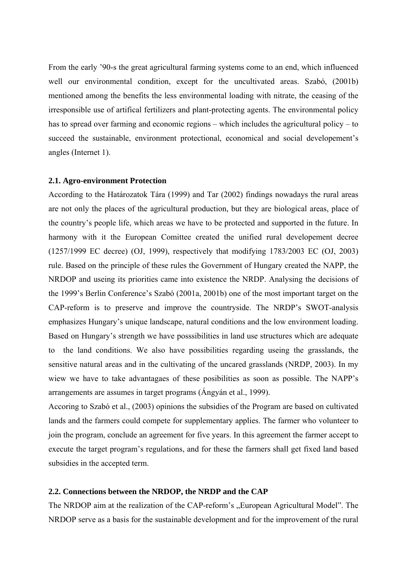From the early '90-s the great agricultural farming systems come to an end, which influenced well our environmental condition, except for the uncultivated areas. Szabó, (2001b) mentioned among the benefits the less environmental loading with nitrate, the ceasing of the irresponsible use of artifical fertilizers and plant-protecting agents. The environmental policy has to spread over farming and economic regions – which includes the agricultural policy – to succeed the sustainable, environment protectional, economical and social developement's angles (Internet 1).

#### **2.1. Agro-environment Protection**

According to the Határozatok Tára (1999) and Tar (2002) findings nowadays the rural areas are not only the places of the agricultural production, but they are biological areas, place of the country's people life, which areas we have to be protected and supported in the future. In harmony with it the European Comittee created the unified rural developement decree (1257/1999 EC decree) (OJ, 1999), respectively that modifying 1783/2003 EC (OJ, 2003) rule. Based on the principle of these rules the Government of Hungary created the NAPP, the NRDOP and useing its priorities came into existence the NRDP. Analysing the decisions of the 1999's Berlin Conference's Szabó (2001a, 2001b) one of the most important target on the CAP-reform is to preserve and improve the countryside. The NRDP's SWOT-analysis emphasizes Hungary's unique landscape, natural conditions and the low environment loading. Based on Hungary's strength we have posssibilities in land use structures which are adequate to the land conditions. We also have possibilities regarding useing the grasslands, the sensitive natural areas and in the cultivating of the uncared grasslands (NRDP, 2003). In my wiew we have to take advantagaes of these posibilities as soon as possible. The NAPP's arrangements are assumes in target programs (Ángyán et al., 1999).

Accoring to Szabó et al., (2003) opinions the subsidies of the Program are based on cultivated lands and the farmers could compete for supplementary applies. The farmer who volunteer to join the program, conclude an agreement for five years. In this agreement the farmer accept to execute the target program's regulations, and for these the farmers shall get fixed land based subsidies in the accepted term.

## **2.2. Connections between the NRDOP, the NRDP and the CAP**

The NRDOP aim at the realization of the CAP-reform's "European Agricultural Model". The NRDOP serve as a basis for the sustainable development and for the improvement of the rural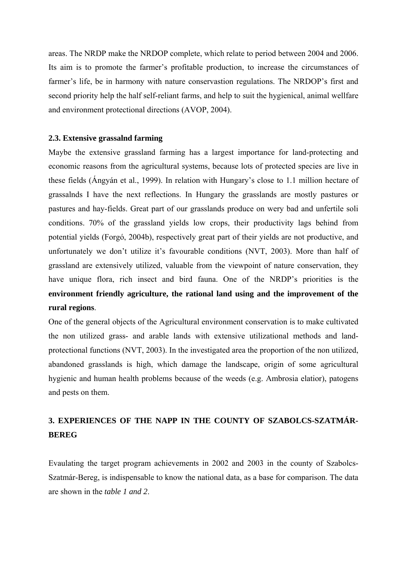areas. The NRDP make the NRDOP complete, which relate to period between 2004 and 2006. Its aim is to promote the farmer's profitable production, to increase the circumstances of farmer's life, be in harmony with nature conservastion regulations. The NRDOP's first and second priority help the half self-reliant farms, and help to suit the hygienical, animal wellfare and environment protectional directions (AVOP, 2004).

#### **2.3. Extensive grassalnd farming**

Maybe the extensive grassland farming has a largest importance for land-protecting and economic reasons from the agricultural systems, because lots of protected species are live in these fields (Ángyán et al., 1999). In relation with Hungary's close to 1.1 million hectare of grassalnds I have the next reflections. In Hungary the grasslands are mostly pastures or pastures and hay-fields. Great part of our grasslands produce on wery bad and unfertile soli conditions. 70% of the grassland yields low crops, their productivity lags behind from potential yields (Forgó, 2004b), respectively great part of their yields are not productive, and unfortunately we don't utilize it's favourable conditions (NVT, 2003). More than half of grassland are extensively utilized, valuable from the viewpoint of nature conservation, they have unique flora, rich insect and bird fauna. One of the NRDP's priorities is the **environment friendly agriculture, the rational land using and the improvement of the rural regions**.

One of the general objects of the Agricultural environment conservation is to make cultivated the non utilized grass- and arable lands with extensive utilizational methods and landprotectional functions (NVT, 2003). In the investigated area the proportion of the non utilized, abandoned grasslands is high, which damage the landscape, origin of some agricultural hygienic and human health problems because of the weeds (e.g. Ambrosia elatior), patogens and pests on them.

# **3. EXPERIENCES OF THE NAPP IN THE COUNTY OF SZABOLCS-SZATMÁR-BEREG**

Evaulating the target program achievements in 2002 and 2003 in the county of Szabolcs-Szatmár-Bereg, is indispensable to know the national data, as a base for comparison. The data are shown in the *table 1 and 2*.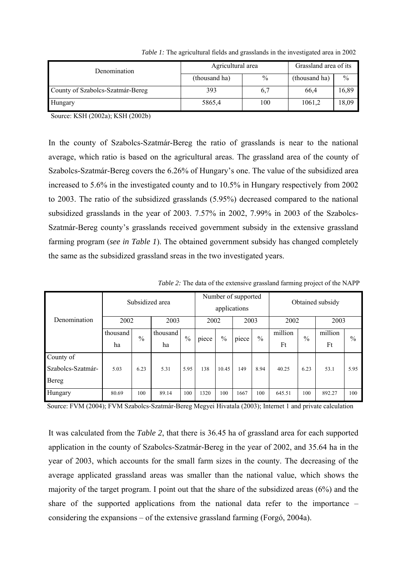| <b>Denomination</b>              | Agricultural area | Grassland area of its |               |               |
|----------------------------------|-------------------|-----------------------|---------------|---------------|
|                                  | (thousand ha)     | $\%$                  | (thousand ha) | $\frac{0}{0}$ |
| County of Szabolcs-Szatmár-Bereg | 393               | 6,7                   | 66,4          | 16,89         |
| Hungary                          | 5865,4            | 100                   | 1061,2        | 18,09         |

*Table 1:* The agricultural fields and grasslands in the investigated area in 2002

Source: KSH (2002a); KSH (2002b)

In the county of Szabolcs-Szatmár-Bereg the ratio of grasslands is near to the national average, which ratio is based on the agricultural areas. The grassland area of the county of Szabolcs-Szatmár-Bereg covers the 6.26% of Hungary's one. The value of the subsidized area increased to 5.6% in the investigated county and to 10.5% in Hungary respectively from 2002 to 2003. The ratio of the subsidized grasslands (5.95%) decreased compared to the national subsidized grasslands in the year of 2003. 7.57% in 2002, 7.99% in 2003 of the Szabolcs-Szatmár-Bereg county's grasslands received government subsidy in the extensive grassland farming program (*see in Table 1*). The obtained government subsidy has changed completely the same as the subsidized grassland sreas in the two investigated years.

| Denomination      | Subsidized area |               |          | Number of supported<br>applications |       |               | Obtained subsidy |      |         |               |         |               |
|-------------------|-----------------|---------------|----------|-------------------------------------|-------|---------------|------------------|------|---------|---------------|---------|---------------|
|                   | 2002            |               | 2003     |                                     | 2002  |               | 2003             |      | 2002    |               | 2003    |               |
|                   | thousand        | $\frac{0}{0}$ | thousand | $\frac{0}{0}$                       | piece | $\frac{0}{0}$ | piece            | $\%$ | million | $\frac{0}{0}$ | million | $\frac{0}{0}$ |
|                   | ha              |               | ha       |                                     |       |               |                  |      | Ft      |               | Ft      |               |
| County of         |                 |               |          |                                     |       |               |                  |      |         |               |         |               |
| Szabolcs-Szatmár- | 5.03            | 6.23          | 5.31     | 5.95                                | 138   | 10.45         | 149              | 8.94 | 40.25   | 6.23          | 53.1    | 5.95          |
| Bereg             |                 |               |          |                                     |       |               |                  |      |         |               |         |               |
| Hungary           | 80.69           | 100           | 89.14    | 100                                 | 1320  | 100           | 1667             | 100  | 645.51  | 100           | 892.27  | 100           |

*Table 2:* The data of the extensive grassland farming project of the NAPP

Source: FVM (2004); FVM Szabolcs-Szatmár-Bereg Megyei Hivatala (2003); Internet 1 and private calculation

It was calculated from the *Table 2*, that there is 36.45 ha of grassland area for each supported application in the county of Szabolcs-Szatmár-Bereg in the year of 2002, and 35.64 ha in the year of 2003, which accounts for the small farm sizes in the county. The decreasing of the average applicated grassland areas was smaller than the national value, which shows the majority of the target program. I point out that the share of the subsidized areas (6%) and the share of the supported applications from the national data refer to the importance – considering the expansions – of the extensive grassland farming (Forgó, 2004a).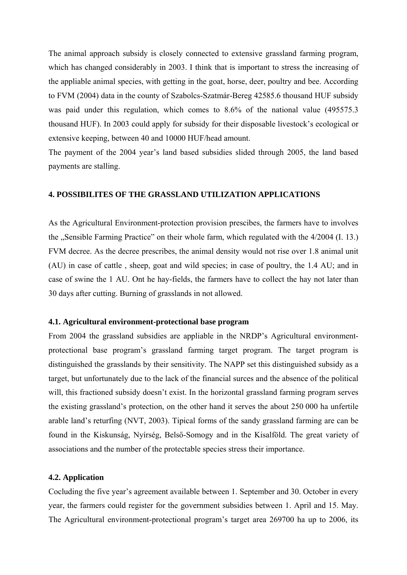The animal approach subsidy is closely connected to extensive grassland farming program, which has changed considerably in 2003. I think that is important to stress the increasing of the appliable animal species, with getting in the goat, horse, deer, poultry and bee. According to FVM (2004) data in the county of Szabolcs-Szatmár-Bereg 42585.6 thousand HUF subsidy was paid under this regulation, which comes to 8.6% of the national value (495575.3 thousand HUF). In 2003 could apply for subsidy for their disposable livestock's ecological or extensive keeping, between 40 and 10000 HUF/head amount.

The payment of the 2004 year's land based subsidies slided through 2005, the land based payments are stalling.

# **4. POSSIBILITES OF THE GRASSLAND UTILIZATION APPLICATIONS**

As the Agricultural Environment-protection provision prescibes, the farmers have to involves the "Sensible Farming Practice" on their whole farm, which regulated with the 4/2004 (I. 13.) FVM decree. As the decree prescribes, the animal density would not rise over 1.8 animal unit (AU) in case of cattle , sheep, goat and wild species; in case of poultry, the 1.4 AU; and in case of swine the 1 AU. Ont he hay-fields, the farmers have to collect the hay not later than 30 days after cutting. Burning of grasslands in not allowed.

#### **4.1. Agricultural environment-protectional base program**

From 2004 the grassland subsidies are appliable in the NRDP's Agricultural environmentprotectional base program's grassland farming target program. The target program is distinguished the grasslands by their sensitivity. The NAPP set this distinguished subsidy as a target, but unfortunately due to the lack of the financial surces and the absence of the political will, this fractioned subsidy doesn't exist. In the horizontal grassland farming program serves the existing grassland's protection, on the other hand it serves the about 250 000 ha unfertile arable land's returfing (NVT, 2003). Tipical forms of the sandy grassland farming are can be found in the Kiskunság, Nyírség, Belső-Somogy and in the Kisalföld. The great variety of associations and the number of the protectable species stress their importance.

#### **4.2. Application**

Cocluding the five year's agreement available between 1. September and 30. October in every year, the farmers could register for the government subsidies between 1. April and 15. May. The Agricultural environment-protectional program's target area 269700 ha up to 2006, its